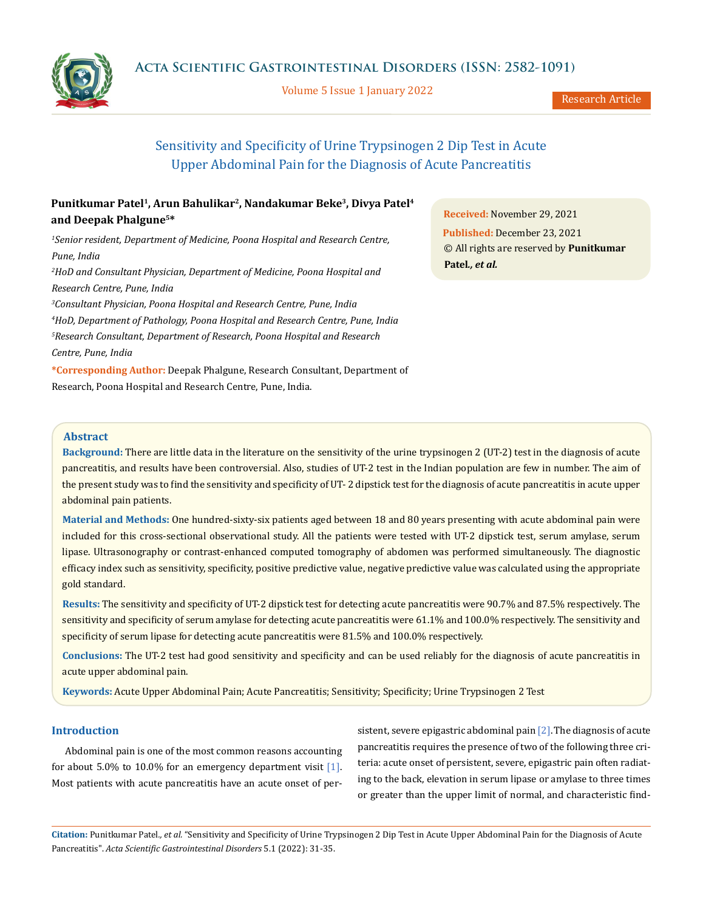

Volume 5 Issue 1 January 2022

Research Article

# Sensitivity and Specificity of Urine Trypsinogen 2 Dip Test in Acute Upper Abdominal Pain for the Diagnosis of Acute Pancreatitis

# **Punitkumar Patel1, Arun Bahulikar2, Nandakumar Beke3, Divya Patel4 and Deepak Phalgune5\***

<sup>1</sup> Senior resident, Department of Medicine, Poona Hospital and Research Centre, *Pune, India 2 HoD and Consultant Physician, Department of Medicine, Poona Hospital and Research Centre, Pune, India 3 Consultant Physician, Poona Hospital and Research Centre, Pune, India 4 HoD, Department of Pathology, Poona Hospital and Research Centre, Pune, India 5 Research Consultant, Department of Research, Poona Hospital and Research Centre, Pune, India* **\*Corresponding Author:** Deepak Phalgune, Research Consultant, Department of Research, Poona Hospital and Research Centre, Pune, India.

**Received:** November 29, 2021 **Published:** December 23, 2021 © All rights are reserved by **Punitkumar Patel***., et al.*

# **Abstract**

**Background:** There are little data in the literature on the sensitivity of the urine trypsinogen 2 (UT-2) test in the diagnosis of acute pancreatitis, and results have been controversial. Also, studies of UT-2 test in the Indian population are few in number. The aim of the present study was to find the sensitivity and specificity of UT- 2 dipstick test for the diagnosis of acute pancreatitis in acute upper abdominal pain patients.

**Material and Methods:** One hundred-sixty-six patients aged between 18 and 80 years presenting with acute abdominal pain were included for this cross-sectional observational study. All the patients were tested with UT-2 dipstick test, serum amylase, serum lipase. Ultrasonography or contrast-enhanced computed tomography of abdomen was performed simultaneously. The diagnostic efficacy index such as sensitivity, specificity, positive predictive value, negative predictive value was calculated using the appropriate gold standard.

**Results:** The sensitivity and specificity of UT-2 dipstick test for detecting acute pancreatitis were 90.7% and 87.5% respectively. The sensitivity and specificity of serum amylase for detecting acute pancreatitis were 61.1% and 100.0% respectively. The sensitivity and specificity of serum lipase for detecting acute pancreatitis were 81.5% and 100.0% respectively.

**Conclusions:** The UT-2 test had good sensitivity and specificity and can be used reliably for the diagnosis of acute pancreatitis in acute upper abdominal pain.

**Keywords:** Acute Upper Abdominal Pain; Acute Pancreatitis; Sensitivity; Specificity; Urine Trypsinogen 2 Test

# **Introduction**

Abdominal pain is one of the most common reasons accounting for about 5.0% to 10.0% for an emergency department visit  $[1]$ . Most patients with acute pancreatitis have an acute onset of persistent, severe epigastric abdominal pain [2].The diagnosis of acute pancreatitis requires the presence of two of the following three criteria: acute onset of persistent, severe, epigastric pain often radiating to the back, elevation in serum lipase or amylase to three times or greater than the upper limit of normal, and characteristic find-

**Citation:** Punitkumar Patel*., et al.* "Sensitivity and Specificity of Urine Trypsinogen 2 Dip Test in Acute Upper Abdominal Pain for the Diagnosis of Acute Pancreatitis". *Acta Scientific Gastrointestinal Disorders* 5.1 (2022): 31-35.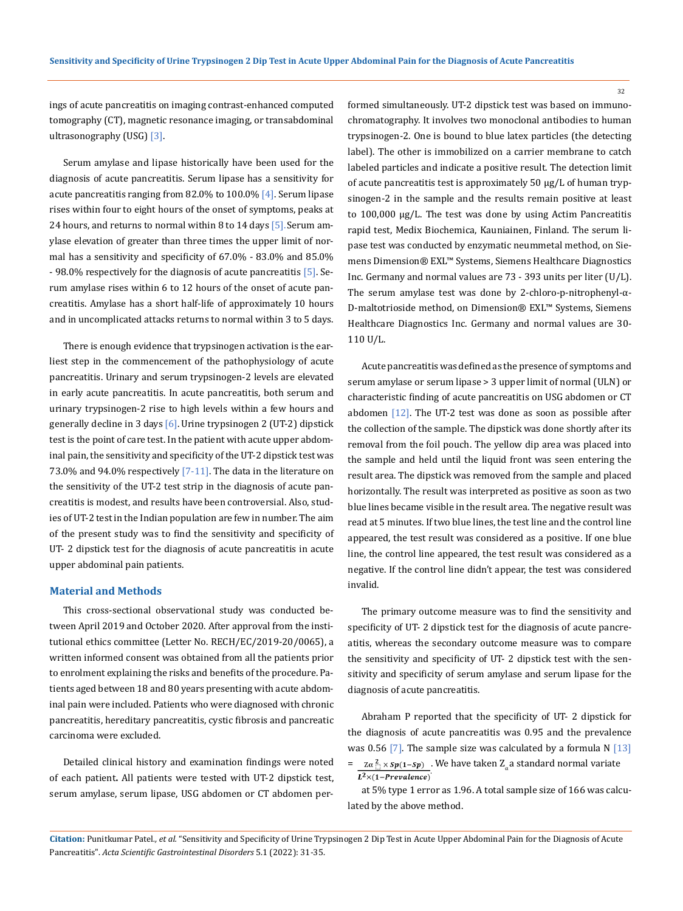ings of acute pancreatitis on imaging contrast-enhanced computed tomography (CT), magnetic resonance imaging, or transabdominal ultrasonography (USG) [3].

Serum amylase and lipase historically have been used for the diagnosis of acute pancreatitis. Serum lipase has a sensitivity for acute pancreatitis ranging from 82.0% to 100.0% [4]. Serum lipase rises within four to eight hours of the onset of symptoms, peaks at 24 hours, and returns to normal within 8 to 14 days [5]. Serum amylase elevation of greater than three times the upper limit of normal has a sensitivity and specificity of 67.0% - 83.0% and 85.0% - 98.0% respectively for the diagnosis of acute pancreatitis [5]. Serum amylase rises within 6 to 12 hours of the onset of acute pancreatitis. Amylase has a short half-life of approximately 10 hours and in uncomplicated attacks returns to normal within 3 to 5 days.

There is enough evidence that trypsinogen activation is the earliest step in the commencement of the pathophysiology of acute pancreatitis. Urinary and serum trypsinogen-2 levels are elevated in early acute pancreatitis. In acute pancreatitis, both serum and urinary trypsinogen‐2 rise to high levels within a few hours and generally decline in 3 days [6]. Urine trypsinogen 2 (UT-2) dipstick test is the point of care test. In the patient with acute upper abdominal pain, the sensitivity and specificity of the UT-2 dipstick test was 73.0% and 94.0% respectively  $[7-11]$ . The data in the literature on the sensitivity of the UT-2 test strip in the diagnosis of acute pancreatitis is modest, and results have been controversial. Also, studies of UT-2 test in the Indian population are few in number. The aim of the present study was to find the sensitivity and specificity of UT- 2 dipstick test for the diagnosis of acute pancreatitis in acute upper abdominal pain patients.

#### **Material and Methods**

This cross-sectional observational study was conducted between April 2019 and October 2020. After approval from the institutional ethics committee (Letter No. RECH/EC/2019-20/0065), a written informed consent was obtained from all the patients prior to enrolment explaining the risks and benefits of the procedure. Patients aged between 18 and 80 years presenting with acute abdominal pain were included. Patients who were diagnosed with chronic pancreatitis, hereditary pancreatitis, cystic fibrosis and pancreatic carcinoma were excluded.

Detailed clinical history and examination findings were noted of each patient**.** All patients were tested with UT-2 dipstick test, serum amylase, serum lipase, USG abdomen or CT abdomen performed simultaneously. UT-2 dipstick test was based on immunochromatography. It involves two monoclonal antibodies to human trypsinogen-2. One is bound to blue latex particles (the detecting label). The other is immobilized on a carrier membrane to catch labeled particles and indicate a positive result. The detection limit of acute pancreatitis test is approximately 50 µg/L of human trypsinogen-2 in the sample and the results remain positive at least to 100,000 µg/L. The test was done by using Actim Pancreatitis rapid test, Medix Biochemica, Kauniainen, Finland. The serum lipase test was conducted by enzymatic neummetal method, on Siemens [Dimension® EXL™ Systems,](https://nacce.siemens-info.com/wp-content/uploads/2020/01/T01008.086-Dim-EXL-QRG-v16-010820.pdf) Siemens Healthcare Diagnostics Inc. Germany and normal values are 73 - 393 units per liter (U/L). The serum amylase test was done by 2-chloro-p-nitrophenyl-α-D-maltotrioside method, on [Dimension® EXL™ Systems,](https://nacce.siemens-info.com/wp-content/uploads/2020/01/T01008.086-Dim-EXL-QRG-v16-010820.pdf) Siemens Healthcare Diagnostics Inc. Germany and normal values are 30- 110 U/L.

Acute pancreatitis was defined as the presence of symptoms and serum amylase or serum lipase > 3 upper limit of normal (ULN) or characteristic finding of acute pancreatitis on USG abdomen or CT abdomen [12]. The UT-2 test was done as soon as possible after the collection of the sample. The dipstick was done shortly after its removal from the foil pouch. The yellow dip area was placed into the sample and held until the liquid front was seen entering the result area. The dipstick was removed from the sample and placed horizontally. The result was interpreted as positive as soon as two blue lines became visible in the result area. The negative result was read at 5 minutes. If two blue lines, the test line and the control line appeared, the test result was considered as a positive. If one blue line, the control line appeared, the test result was considered as a negative. If the control line didn't appear, the test was considered invalid.

The primary outcome measure was to find the sensitivity and specificity of UT- 2 dipstick test for the diagnosis of acute pancreatitis, whereas the secondary outcome measure was to compare the sensitivity and specificity of UT- 2 dipstick test with the sensitivity and specificity of serum amylase and serum lipase for the diagnosis of acute pancreatitis.

Abraham P reported that the specificity of UT- 2 dipstick for the diagnosis of acute pancreatitis was 0.95 and the prevalence was 0.56 [7]. The sample size was calculated by a formula N  $[13]$ 

=  $\frac{Z\alpha_{1}^{2} \times sp(1-Sp)}{L^{2} \times (1-Prevalence)}$ . We have taken  $Z_{\alpha}$  a standard normal variate

at 5% type 1 error as 1.96. A total sample size of 166 was calculated by the above method.

32

**Citation:** Punitkumar Patel*., et al.* "Sensitivity and Specificity of Urine Trypsinogen 2 Dip Test in Acute Upper Abdominal Pain for the Diagnosis of Acute Pancreatitis". *Acta Scientific Gastrointestinal Disorders* 5.1 (2022): 31-35.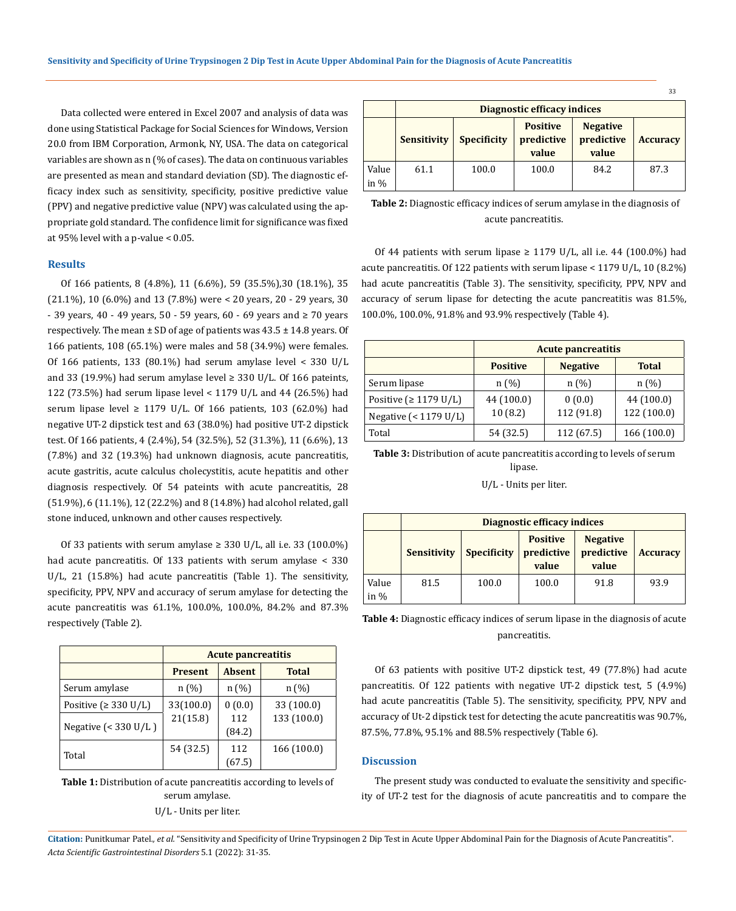Data collected were entered in Excel 2007 and analysis of data was done using Statistical Package for Social Sciences for Windows, Version 20.0 from IBM Corporation, Armonk, NY, USA. The data on categorical variables are shown as n (% of cases). The data on continuous variables are presented as mean and standard deviation (SD). The diagnostic efficacy index such as sensitivity, specificity, positive predictive value (PPV) and negative predictive value (NPV) was calculated using the appropriate gold standard. The confidence limit for significance was fixed at 95% level with a p-value < 0.05.

# **Results**

Of 166 patients, 8 (4.8%), 11 (6.6%), 59 (35.5%),30 (18.1%), 35 (21.1%), 10 (6.0%) and 13 (7.8%) were < 20 years, 20 - 29 years, 30 - 39 years, 40 - 49 years, 50 - 59 years, 60 - 69 years and ≥ 70 years respectively. The mean  $\pm$  SD of age of patients was 43.5  $\pm$  14.8 years. Of 166 patients, 108 (65.1%) were males and 58 (34.9%) were females. Of 166 patients, 133 (80.1%) had serum amylase level < 330 U/L and 33 (19.9%) had serum amylase level  $\geq$  330 U/L. Of 166 pateints, 122 (73.5%) had serum lipase level < 1179 U/L and 44 (26.5%) had serum lipase level  $\geq$  1179 U/L. Of 166 patients, 103 (62.0%) had negative UT-2 dipstick test and 63 (38.0%) had positive UT-2 dipstick test. Of 166 patients, 4 (2.4%), 54 (32.5%), 52 (31.3%), 11 (6.6%), 13 (7.8%) and 32 (19.3%) had unknown diagnosis, acute pancreatitis, acute gastritis, acute calculus cholecystitis, acute hepatitis and other diagnosis respectively. Of 54 pateints with acute pancreatitis, 28 (51.9%), 6 (11.1%), 12 (22.2%) and 8 (14.8%) had alcohol related, gall stone induced, unknown and other causes respectively.

Of 33 patients with serum amylase  $\geq$  330 U/L, all i.e. 33 (100.0%) had acute pancreatitis. Of 133 patients with serum amylase < 330 U/L, 21 (15.8%) had acute pancreatitis (Table 1). The sensitivity, specificity, PPV, NPV and accuracy of serum amylase for detecting the acute pancreatitis was 61.1%, 100.0%, 100.0%, 84.2% and 87.3% respectively (Table 2).

|                            | <b>Acute pancreatitis</b> |               |              |  |
|----------------------------|---------------------------|---------------|--------------|--|
|                            | <b>Present</b>            | <b>Absent</b> | <b>Total</b> |  |
| Serum amylase              | n(%)                      | n(%)          | n(%)         |  |
| Positive ( $\geq$ 330 U/L) | 33(100.0)                 | 0(0.0)        | 33 (100.0)   |  |
| Negative $(< 330$ U/L)     | 21(15.8)                  | 112<br>(84.2) | 133 (100.0)  |  |
| Total                      | 54 (32.5)                 | 112<br>(67.5) | 166 (100.0)  |  |

**Table 1:** Distribution of acute pancreatitis according to levels of serum amylase. U/L - Units per liter.

|               | Diagnostic efficacy indices |                    |                                        |                                        |                 |
|---------------|-----------------------------|--------------------|----------------------------------------|----------------------------------------|-----------------|
|               | <b>Sensitivity</b>          | <b>Specificity</b> | <b>Positive</b><br>predictive<br>value | <b>Negative</b><br>predictive<br>value | <b>Accuracy</b> |
| Value<br>in % | 61.1                        | 100.0              | 100.0                                  | 84.2                                   | 87.3            |

२२

**Table 2:** Diagnostic efficacy indices of serum amylase in the diagnosis of acute pancreatitis.

Of 44 patients with serum lipase  $\geq$  1179 U/L, all i.e. 44 (100.0%) had acute pancreatitis. Of 122 patients with serum lipase < 1179 U/L, 10 (8.2%) had acute pancreatitis (Table 3). The sensitivity, specificity, PPV, NPV and accuracy of serum lipase for detecting the acute pancreatitis was 81.5%, 100.0%, 100.0%, 91.8% and 93.9% respectively (Table 4).

|                               | <b>Acute pancreatitis</b> |                 |              |  |
|-------------------------------|---------------------------|-----------------|--------------|--|
|                               | <b>Positive</b>           | <b>Negative</b> | <b>Total</b> |  |
| Serum lipase                  | n(%)                      | n(%)            | n(%)         |  |
| Positive ( $\geq$ 1179 U/L)   | 44 (100.0)                | 0(0.0)          | 44 (100.0)   |  |
| Negative $(1179 \text{ U/L})$ | 10(8.2)                   | 112 (91.8)      | 122 (100.0)  |  |
| Total                         | 54 (32.5)                 | 112 (67.5)      | 166 (100.0)  |  |

**Table 3:** Distribution of acute pancreatitis according to levels of serum lipase.

U/L - Units per liter.

|                 | Diagnostic efficacy indices |                    |                                        |                                        |                 |
|-----------------|-----------------------------|--------------------|----------------------------------------|----------------------------------------|-----------------|
|                 | <b>Sensitivity</b>          | <b>Specificity</b> | <b>Positive</b><br>predictive<br>value | <b>Negative</b><br>predictive<br>value | <b>Accuracy</b> |
| Value<br>in $%$ | 81.5                        | 100.0              | 100.0                                  | 91.8                                   | 93.9            |

**Table 4:** Diagnostic efficacy indices of serum lipase in the diagnosis of acute pancreatitis.

Of 63 patients with positive UT-2 dipstick test, 49 (77.8%) had acute pancreatitis. Of 122 patients with negative UT-2 dipstick test, 5 (4.9%) had acute pancreatitis (Table 5). The sensitivity, specificity, PPV, NPV and accuracy of Ut-2 dipstick test for detecting the acute pancreatitis was 90.7%, 87.5%, 77.8%, 95.1% and 88.5% respectively (Table 6).

#### **Discussion**

The present study was conducted to evaluate the sensitivity and specificity of UT-2 test for the diagnosis of acute pancreatitis and to compare the

**Citation:** Punitkumar Patel*., et al.* "Sensitivity and Specificity of Urine Trypsinogen 2 Dip Test in Acute Upper Abdominal Pain for the Diagnosis of Acute Pancreatitis". *Acta Scientific Gastrointestinal Disorders* 5.1 (2022): 31-35.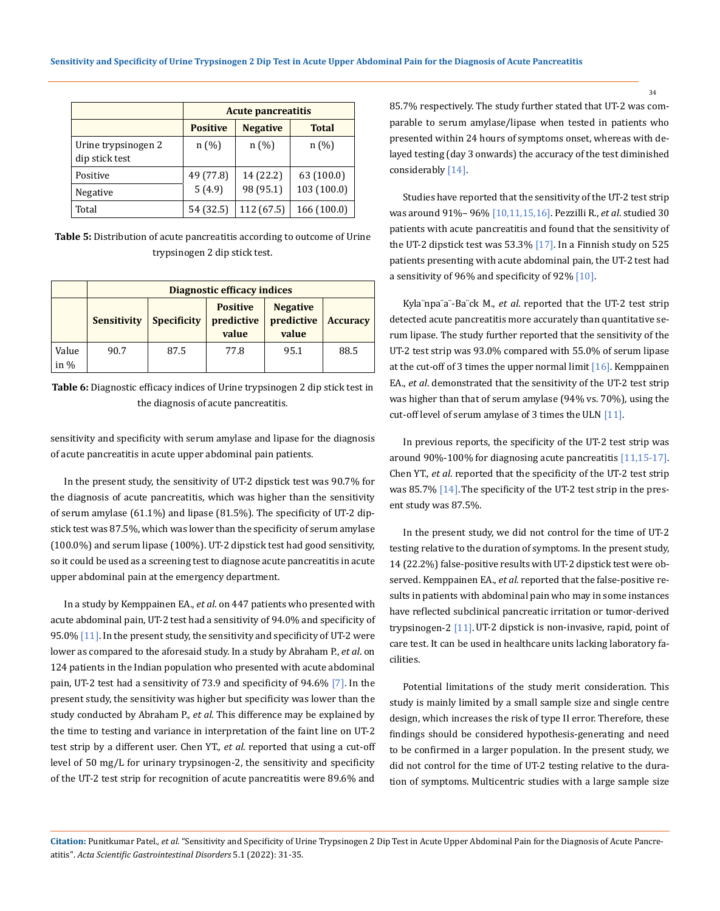|                                       | <b>Acute pancreatitis</b> |                 |              |  |
|---------------------------------------|---------------------------|-----------------|--------------|--|
|                                       | <b>Positive</b>           | <b>Negative</b> | <b>Total</b> |  |
| Urine trypsinogen 2<br>dip stick test | n(%)                      | n(%)            | n(%)         |  |
| Positive                              | 49 (77.8)                 | 14 (22.2)       | 63 (100.0)   |  |
| Negative                              | 5(4.9)                    | 98 (95.1)       | 103 (100.0)  |  |
| Total                                 | 54 (32.5)                 | 112 (67.5)      | 166 (100.0)  |  |

**Table 5:** Distribution of acute pancreatitis according to outcome of Urine trypsinogen 2 dip stick test.

|                  | Diagnostic efficacy indices |                    |                                        |                                        |                 |
|------------------|-----------------------------|--------------------|----------------------------------------|----------------------------------------|-----------------|
|                  | <b>Sensitivity</b>          | <b>Specificity</b> | <b>Positive</b><br>predictive<br>value | <b>Negative</b><br>predictive<br>value | <b>Accuracy</b> |
| Value<br>in $\%$ | 90.7                        | 87.5               | 77.8                                   | 95.1                                   | 88.5            |

**Table 6:** Diagnostic efficacy indices of Urine trypsinogen 2 dip stick test in the diagnosis of acute pancreatitis.

sensitivity and specificity with serum amylase and lipase for the diagnosis of acute pancreatitis in acute upper abdominal pain patients.

In the present study, the sensitivity of UT-2 dipstick test was 90.7% for the diagnosis of acute pancreatitis, which was higher than the sensitivity of serum amylase (61.1%) and lipase (81.5%). The specificity of UT-2 dipstick test was 87.5%, which was lower than the specificity of serum amylase (100.0%) and serum lipase (100%). UT-2 dipstick test had good sensitivity, so it could be used as a screening test to diagnose acute pancreatitis in acute upper abdominal pain at the emergency department.

In a study by Kemppainen EA., *et al*. on 447 patients who presented with acute abdominal pain, UT-2 test had a sensitivity of 94.0% and specificity of 95.0% [11]. In the present study, the sensitivity and specificity of UT-2 were lower as compared to the aforesaid study. In a study by Abraham P., *et al*. on 124 patients in the Indian population who presented with acute abdominal pain, UT-2 test had a sensitivity of 73.9 and specificity of 94.6% [7]. In the present study, the sensitivity was higher but specificity was lower than the study conducted by Abraham P., *et al*. This difference may be explained by the time to testing and variance in interpretation of the faint line on UT-2 test strip by a different user. Chen YT., *et al*. reported that using a cut-off level of 50 mg/L for urinary trypsinogen-2, the sensitivity and specificity of the UT-2 test strip for recognition of acute pancreatitis were 89.6% and 85.7% respectively. The study further stated that UT-2 was comparable to serum amylase/lipase when tested in patients who presented within 24 hours of symptoms onset, whereas with delayed testing (day 3 onwards) the accuracy of the test diminished considerably [14].

Studies have reported that the sensitivity of the UT-2 test strip was around 91%– 96% [10,11,15,16]. Pezzilli R., *et al*. studied 30 patients with acute pancreatitis and found that the sensitivity of the UT-2 dipstick test was 53.3% [17]. In a Finnish study on 525 patients presenting with acute abdominal pain, the UT-2 test had a sensitivity of 96% and specificity of 92% [10].

Kyla¨npa¨a¨-Ba¨ck M., *et al*. reported that the UT-2 test strip detected acute pancreatitis more accurately than quantitative serum lipase. The study further reported that the sensitivity of the UT-2 test strip was 93.0% compared with 55.0% of serum lipase at the cut-off of 3 times the upper normal limit [16]. Kemppainen EA., *et al*. demonstrated that the sensitivity of the UT-2 test strip was higher than that of serum amylase (94% vs. 70%), using the cut-off level of serum amylase of 3 times the ULN [11].

In previous reports, the specificity of the UT-2 test strip was around 90%-100% for diagnosing acute pancreatitis [11,15-17]. Chen YT., *et al*. reported that the specificity of the UT-2 test strip was 85.7% [14]. The specificity of the UT-2 test strip in the present study was 87.5%.

In the present study, we did not control for the time of UT-2 testing relative to the duration of symptoms. In the present study, 14 (22.2%) false-positive results with UT-2 dipstick test were observed. Kemppainen EA., *et al*. reported that the false-positive results in patients with abdominal pain who may in some instances have reflected subclinical pancreatic irritation or tumor-derived trypsinogen-2 [11].UT-2 dipstick is non-invasive, rapid, point of care test. It can be used in healthcare units lacking laboratory facilities.

Potential limitations of the study merit consideration. This study is mainly limited by a small sample size and single centre design, which increases the risk of type II error. Therefore, these findings should be considered hypothesis-generating and need to be confirmed in a larger population. In the present study, we did not control for the time of UT-2 testing relative to the duration of symptoms. Multicentric studies with a large sample size

**Citation:** Punitkumar Patel*., et al.* "Sensitivity and Specificity of Urine Trypsinogen 2 Dip Test in Acute Upper Abdominal Pain for the Diagnosis of Acute Pancreatitis". *Acta Scientific Gastrointestinal Disorders* 5.1 (2022): 31-35.

34